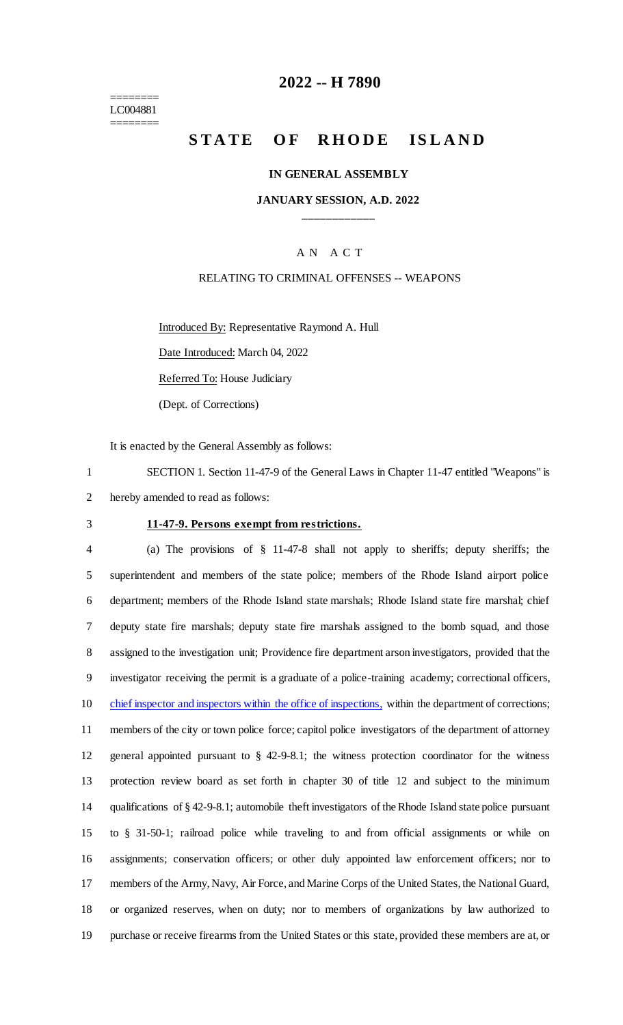======== LC004881 ========

## **2022 -- H 7890**

# **STATE OF RHODE ISLAND**

### **IN GENERAL ASSEMBLY**

## **JANUARY SESSION, A.D. 2022 \_\_\_\_\_\_\_\_\_\_\_\_**

## A N A C T

### RELATING TO CRIMINAL OFFENSES -- WEAPONS

Introduced By: Representative Raymond A. Hull Date Introduced: March 04, 2022

Referred To: House Judiciary

(Dept. of Corrections)

It is enacted by the General Assembly as follows:

1 SECTION 1. Section 11-47-9 of the General Laws in Chapter 11-47 entitled "Weapons" is 2 hereby amended to read as follows:

### 3 **11-47-9. Persons exempt from restrictions.**

 (a) The provisions of § 11-47-8 shall not apply to sheriffs; deputy sheriffs; the superintendent and members of the state police; members of the Rhode Island airport police department; members of the Rhode Island state marshals; Rhode Island state fire marshal; chief deputy state fire marshals; deputy state fire marshals assigned to the bomb squad, and those assigned to the investigation unit; Providence fire department arson investigators, provided that the investigator receiving the permit is a graduate of a police-training academy; correctional officers, 10 chief inspector and inspectors within the office of inspections, within the department of corrections; members of the city or town police force; capitol police investigators of the department of attorney general appointed pursuant to § 42-9-8.1; the witness protection coordinator for the witness protection review board as set forth in chapter 30 of title 12 and subject to the minimum qualifications of § 42-9-8.1; automobile theft investigators of the Rhode Island state police pursuant to § 31-50-1; railroad police while traveling to and from official assignments or while on assignments; conservation officers; or other duly appointed law enforcement officers; nor to members of the Army, Navy, Air Force, and Marine Corps of the United States, the National Guard, or organized reserves, when on duty; nor to members of organizations by law authorized to purchase or receive firearms from the United States or this state, provided these members are at, or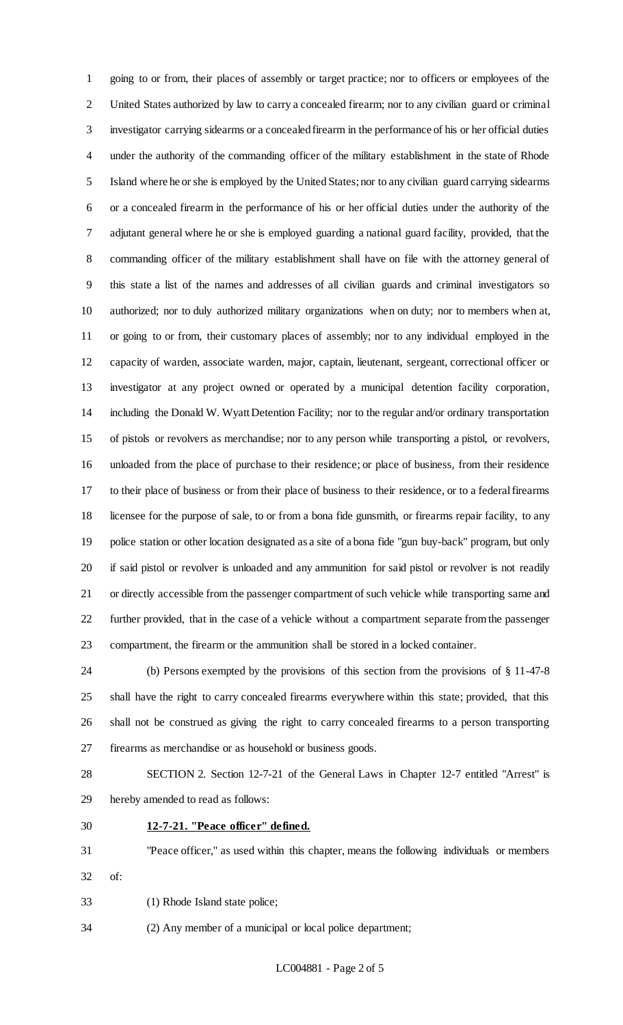going to or from, their places of assembly or target practice; nor to officers or employees of the United States authorized by law to carry a concealed firearm; nor to any civilian guard or criminal investigator carrying sidearms or a concealed firearm in the performance of his or her official duties under the authority of the commanding officer of the military establishment in the state of Rhode Island where he or she is employed by the United States; nor to any civilian guard carrying sidearms or a concealed firearm in the performance of his or her official duties under the authority of the adjutant general where he or she is employed guarding a national guard facility, provided, that the commanding officer of the military establishment shall have on file with the attorney general of this state a list of the names and addresses of all civilian guards and criminal investigators so authorized; nor to duly authorized military organizations when on duty; nor to members when at, or going to or from, their customary places of assembly; nor to any individual employed in the capacity of warden, associate warden, major, captain, lieutenant, sergeant, correctional officer or investigator at any project owned or operated by a municipal detention facility corporation, including the Donald W. Wyatt Detention Facility; nor to the regular and/or ordinary transportation of pistols or revolvers as merchandise; nor to any person while transporting a pistol, or revolvers, unloaded from the place of purchase to their residence; or place of business, from their residence to their place of business or from their place of business to their residence, or to a federal firearms licensee for the purpose of sale, to or from a bona fide gunsmith, or firearms repair facility, to any police station or other location designated as a site of a bona fide "gun buy-back" program, but only if said pistol or revolver is unloaded and any ammunition for said pistol or revolver is not readily or directly accessible from the passenger compartment of such vehicle while transporting same and further provided, that in the case of a vehicle without a compartment separate from the passenger compartment, the firearm or the ammunition shall be stored in a locked container.

 (b) Persons exempted by the provisions of this section from the provisions of § 11-47-8 shall have the right to carry concealed firearms everywhere within this state; provided, that this shall not be construed as giving the right to carry concealed firearms to a person transporting firearms as merchandise or as household or business goods.

 SECTION 2. Section 12-7-21 of the General Laws in Chapter 12-7 entitled "Arrest" is hereby amended to read as follows:

**12-7-21. "Peace officer" defined.**

 "Peace officer," as used within this chapter, means the following individuals or members of:

(1) Rhode Island state police;

(2) Any member of a municipal or local police department;

LC004881 - Page 2 of 5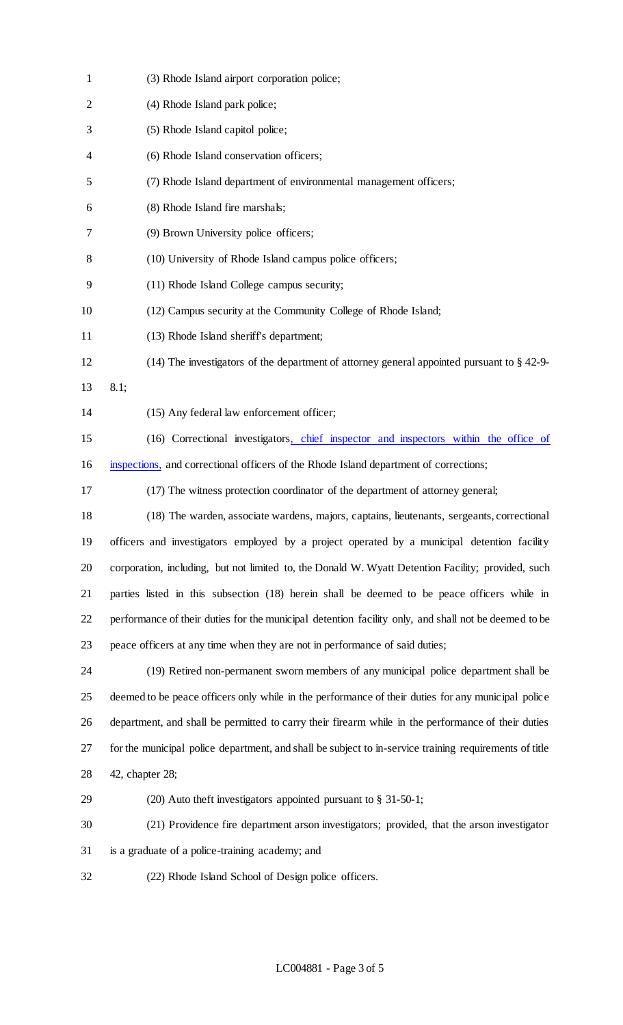| $\mathbf{1}$   | (3) Rhode Island airport corporation police;                                                           |
|----------------|--------------------------------------------------------------------------------------------------------|
| $\overline{2}$ | (4) Rhode Island park police;                                                                          |
| 3              | (5) Rhode Island capitol police;                                                                       |
| 4              | (6) Rhode Island conservation officers;                                                                |
| 5              | (7) Rhode Island department of environmental management officers;                                      |
| 6              | (8) Rhode Island fire marshals;                                                                        |
| 7              | (9) Brown University police officers;                                                                  |
| 8              | (10) University of Rhode Island campus police officers;                                                |
| 9              | (11) Rhode Island College campus security;                                                             |
| 10             | (12) Campus security at the Community College of Rhode Island;                                         |
| 11             | (13) Rhode Island sheriff's department;                                                                |
| 12             | $(14)$ The investigators of the department of attorney general appointed pursuant to § 42-9-           |
| 13             | 8.1;                                                                                                   |
| 14             | (15) Any federal law enforcement officer;                                                              |
| 15             | (16) Correctional investigators, chief inspector and inspectors within the office of                   |
| 16             | inspections, and correctional officers of the Rhode Island department of corrections;                  |
| 17             | (17) The witness protection coordinator of the department of attorney general;                         |
| 18             | (18) The warden, associate wardens, majors, captains, lieutenants, sergeants, correctional             |
| 19             | officers and investigators employed by a project operated by a municipal detention facility            |
| 20             | corporation, including, but not limited to, the Donald W. Wyatt Detention Facility; provided, such     |
| 21             | parties listed in this subsection (18) herein shall be deemed to be peace officers while in            |
| 22             | performance of their duties for the municipal detention facility only, and shall not be deemed to be   |
| 23             | peace officers at any time when they are not in performance of said duties;                            |
| 24             | (19) Retired non-permanent sworn members of any municipal police department shall be                   |
| 25             | deemed to be peace officers only while in the performance of their duties for any municipal police     |
| 26             | department, and shall be permitted to carry their firearm while in the performance of their duties     |
| 27             | for the municipal police department, and shall be subject to in-service training requirements of title |
| 28             | 42, chapter 28;                                                                                        |
| 29             | (20) Auto theft investigators appointed pursuant to $\S$ 31-50-1;                                      |
| 30             | (21) Providence fire department arson investigators; provided, that the arson investigator             |
| 31             | is a graduate of a police-training academy; and                                                        |
| 32             | (22) Rhode Island School of Design police officers.                                                    |
|                |                                                                                                        |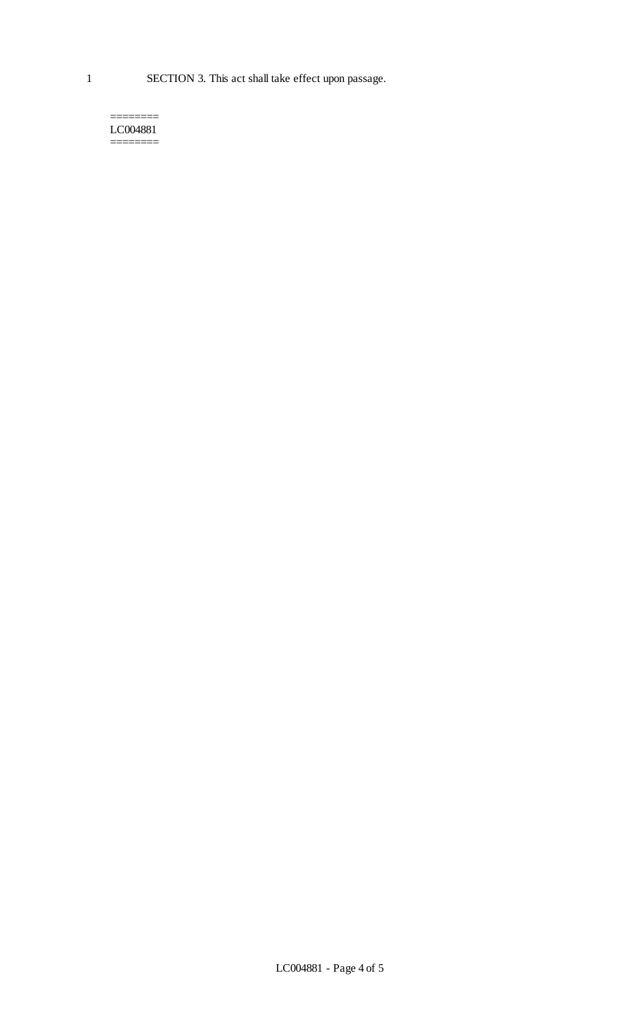1 SECTION 3. This act shall take effect upon passage.

#### ======== LC004881 ========